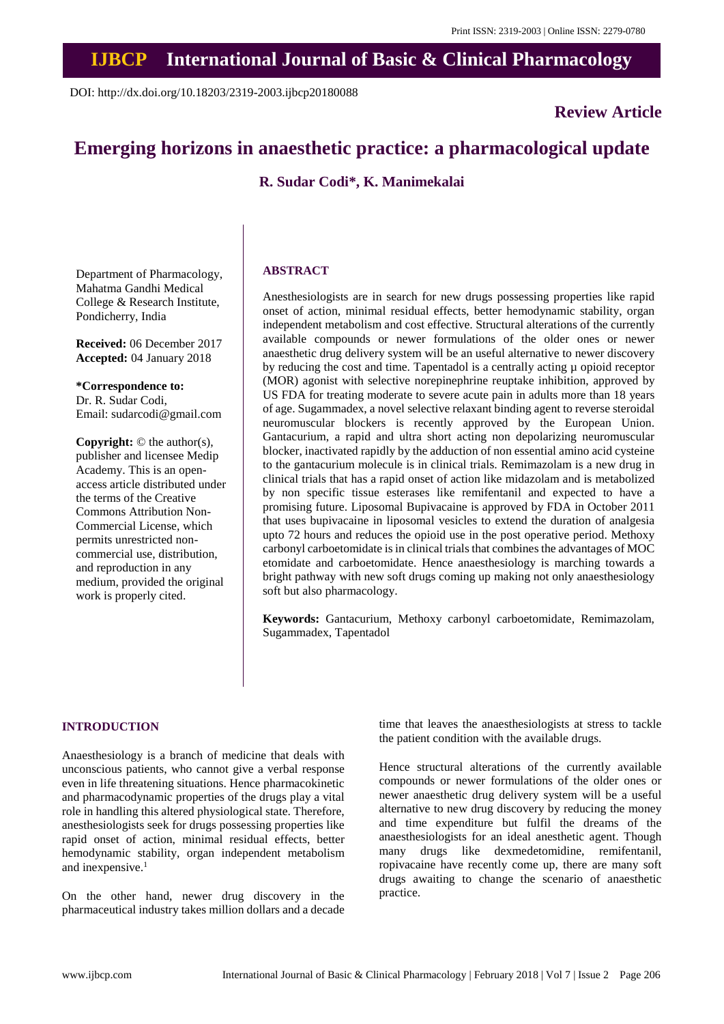## **IJBCP International Journal of Basic & Clinical Pharmacology**

DOI: http://dx.doi.org/10.18203/2319-2003.ijbcp20180088

**Review Article**

# **Emerging horizons in anaesthetic practice: a pharmacological update**

**R. Sudar Codi\*, K. Manimekalai**

Department of Pharmacology, Mahatma Gandhi Medical College & Research Institute, Pondicherry, India

**Received:** 06 December 2017 **Accepted:** 04 January 2018

**\*Correspondence to:** Dr. R. Sudar Codi, Email: sudarcodi@gmail.com

**Copyright:** © the author(s), publisher and licensee Medip Academy. This is an openaccess article distributed under the terms of the Creative Commons Attribution Non-Commercial License, which permits unrestricted noncommercial use, distribution, and reproduction in any medium, provided the original work is properly cited.

### **ABSTRACT**

Anesthesiologists are in search for new drugs possessing properties like rapid onset of action, minimal residual effects, better hemodynamic stability, organ independent metabolism and cost effective. Structural alterations of the currently available compounds or newer formulations of the older ones or newer anaesthetic drug delivery system will be an useful alternative to newer discovery by reducing the cost and time. Tapentadol is a centrally acting µ opioid receptor (MOR) agonist with selective norepinephrine reuptake inhibition, approved by US FDA for treating moderate to severe acute pain in adults more than 18 years of age. Sugammadex, a novel selective relaxant binding agent to reverse steroidal neuromuscular blockers is recently approved by the European Union. Gantacurium, a rapid and ultra short acting non depolarizing neuromuscular blocker, inactivated rapidly by the adduction of non essential amino acid cysteine to the gantacurium molecule is in clinical trials. Remimazolam is a new drug in clinical trials that has a rapid onset of action like midazolam and is metabolized by non specific tissue esterases like remifentanil and expected to have a promising future. Liposomal Bupivacaine is approved by FDA in October 2011 that uses bupivacaine in liposomal vesicles to extend the duration of analgesia upto 72 hours and reduces the opioid use in the post operative period. Methoxy carbonyl carboetomidate is in clinical trials that combines the advantages of MOC etomidate and carboetomidate. Hence anaesthesiology is marching towards a bright pathway with new soft drugs coming up making not only anaesthesiology soft but also pharmacology.

**Keywords:** Gantacurium, Methoxy carbonyl carboetomidate, Remimazolam, Sugammadex, Tapentadol

## **INTRODUCTION**

Anaesthesiology is a branch of medicine that deals with unconscious patients, who cannot give a verbal response even in life threatening situations. Hence pharmacokinetic and pharmacodynamic properties of the drugs play a vital role in handling this altered physiological state. Therefore, anesthesiologists seek for drugs possessing properties like rapid onset of action, minimal residual effects, better hemodynamic stability, organ independent metabolism and inexpensive.<sup>1</sup>

On the other hand, newer drug discovery in the pharmaceutical industry takes million dollars and a decade time that leaves the anaesthesiologists at stress to tackle the patient condition with the available drugs.

Hence structural alterations of the currently available compounds or newer formulations of the older ones or newer anaesthetic drug delivery system will be a useful alternative to new drug discovery by reducing the money and time expenditure but fulfil the dreams of the anaesthesiologists for an ideal anesthetic agent. Though many drugs like dexmedetomidine, remifentanil, ropivacaine have recently come up, there are many soft drugs awaiting to change the scenario of anaesthetic practice.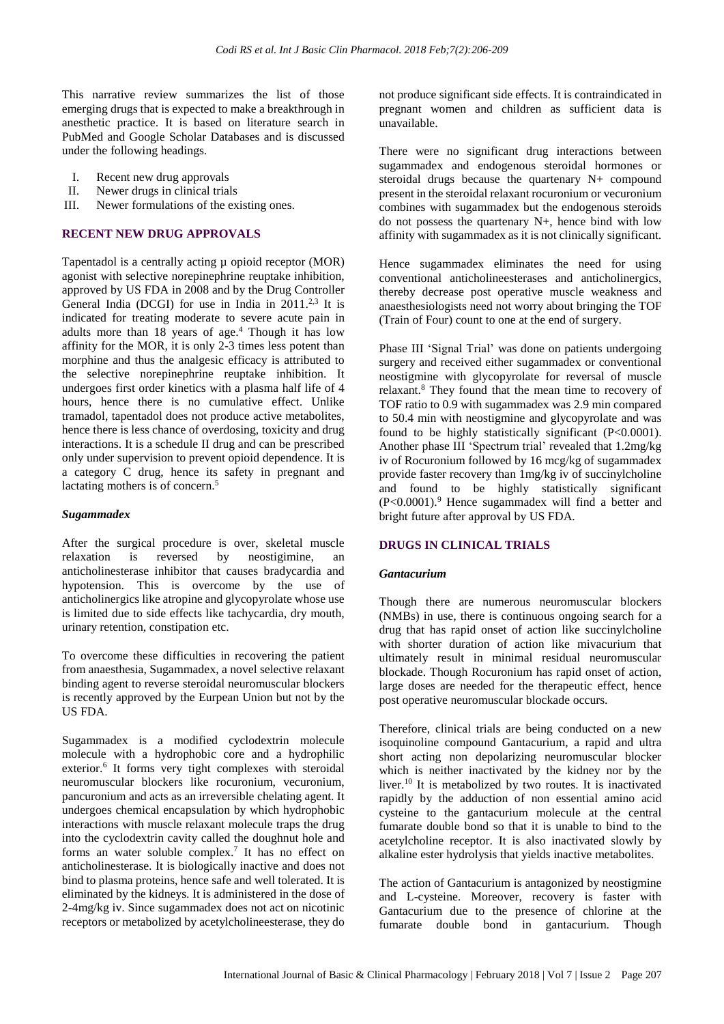This narrative review summarizes the list of those emerging drugs that is expected to make a breakthrough in anesthetic practice. It is based on literature search in PubMed and Google Scholar Databases and is discussed under the following headings.

- I. Recent new drug approvals
- II. Newer drugs in clinical trials
- III. Newer formulations of the existing ones.

## **RECENT NEW DRUG APPROVALS**

Tapentadol is a centrally acting µ opioid receptor (MOR) agonist with selective norepinephrine reuptake inhibition, approved by US FDA in 2008 and by the Drug Controller General India (DCGI) for use in India in  $2011<sup>2,3</sup>$  It is indicated for treating moderate to severe acute pain in adults more than 18 years of age. <sup>4</sup> Though it has low affinity for the MOR, it is only 2-3 times less potent than morphine and thus the analgesic efficacy is attributed to the selective norepinephrine reuptake inhibition. It undergoes first order kinetics with a plasma half life of 4 hours, hence there is no cumulative effect. Unlike tramadol, tapentadol does not produce active metabolites, hence there is less chance of overdosing, toxicity and drug interactions. It is a schedule II drug and can be prescribed only under supervision to prevent opioid dependence. It is a category C drug, hence its safety in pregnant and lactating mothers is of concern. 5

#### *Sugammadex*

After the surgical procedure is over, skeletal muscle<br>relaxation is reversed by neostigimine, an relaxation is reversed by neostigimine, an anticholinesterase inhibitor that causes bradycardia and hypotension. This is overcome by the use of anticholinergics like atropine and glycopyrolate whose use is limited due to side effects like tachycardia, dry mouth, urinary retention, constipation etc.

To overcome these difficulties in recovering the patient from anaesthesia, Sugammadex, a novel selective relaxant binding agent to reverse steroidal neuromuscular blockers is recently approved by the Eurpean Union but not by the US FDA.

Sugammadex is a modified cyclodextrin molecule molecule with a hydrophobic core and a hydrophilic exterior.<sup>6</sup> It forms very tight complexes with steroidal neuromuscular blockers like rocuronium, vecuronium, pancuronium and acts as an irreversible chelating agent. It undergoes chemical encapsulation by which hydrophobic interactions with muscle relaxant molecule traps the drug into the cyclodextrin cavity called the doughnut hole and forms an water soluble complex.<sup>7</sup> It has no effect on anticholinesterase. It is biologically inactive and does not bind to plasma proteins, hence safe and well tolerated. It is eliminated by the kidneys. It is administered in the dose of 2-4mg/kg iv. Since sugammadex does not act on nicotinic receptors or metabolized by acetylcholineesterase, they do not produce significant side effects. It is contraindicated in pregnant women and children as sufficient data is unavailable.

There were no significant drug interactions between sugammadex and endogenous steroidal hormones or steroidal drugs because the quartenary N+ compound present in the steroidal relaxant rocuronium or vecuronium combines with sugammadex but the endogenous steroids do not possess the quartenary N+, hence bind with low affinity with sugammadex as it is not clinically significant.

Hence sugammadex eliminates the need for using conventional anticholineesterases and anticholinergics, thereby decrease post operative muscle weakness and anaesthesiologists need not worry about bringing the TOF (Train of Four) count to one at the end of surgery.

Phase III 'Signal Trial' was done on patients undergoing surgery and received either sugammadex or conventional neostigmine with glycopyrolate for reversal of muscle relaxant.<sup>8</sup> They found that the mean time to recovery of TOF ratio to 0.9 with sugammadex was 2.9 min compared to 50.4 min with neostigmine and glycopyrolate and was found to be highly statistically significant (P<0.0001). Another phase III 'Spectrum trial' revealed that 1.2mg/kg iv of Rocuronium followed by 16 mcg/kg of sugammadex provide faster recovery than 1mg/kg iv of succinylcholine and found to be highly statistically significant  $(P<0.0001)$ .<sup>9</sup> Hence sugammadex will find a better and bright future after approval by US FDA.

## **DRUGS IN CLINICAL TRIALS**

#### *Gantacurium*

Though there are numerous neuromuscular blockers (NMBs) in use, there is continuous ongoing search for a drug that has rapid onset of action like succinylcholine with shorter duration of action like mivacurium that ultimately result in minimal residual neuromuscular blockade. Though Rocuronium has rapid onset of action, large doses are needed for the therapeutic effect, hence post operative neuromuscular blockade occurs.

Therefore, clinical trials are being conducted on a new isoquinoline compound Gantacurium, a rapid and ultra short acting non depolarizing neuromuscular blocker which is neither inactivated by the kidney nor by the liver.<sup>10</sup> It is metabolized by two routes. It is inactivated rapidly by the adduction of non essential amino acid cysteine to the gantacurium molecule at the central fumarate double bond so that it is unable to bind to the acetylcholine receptor. It is also inactivated slowly by alkaline ester hydrolysis that yields inactive metabolites.

The action of Gantacurium is antagonized by neostigmine and L-cysteine. Moreover, recovery is faster with Gantacurium due to the presence of chlorine at the fumarate double bond in gantacurium. Though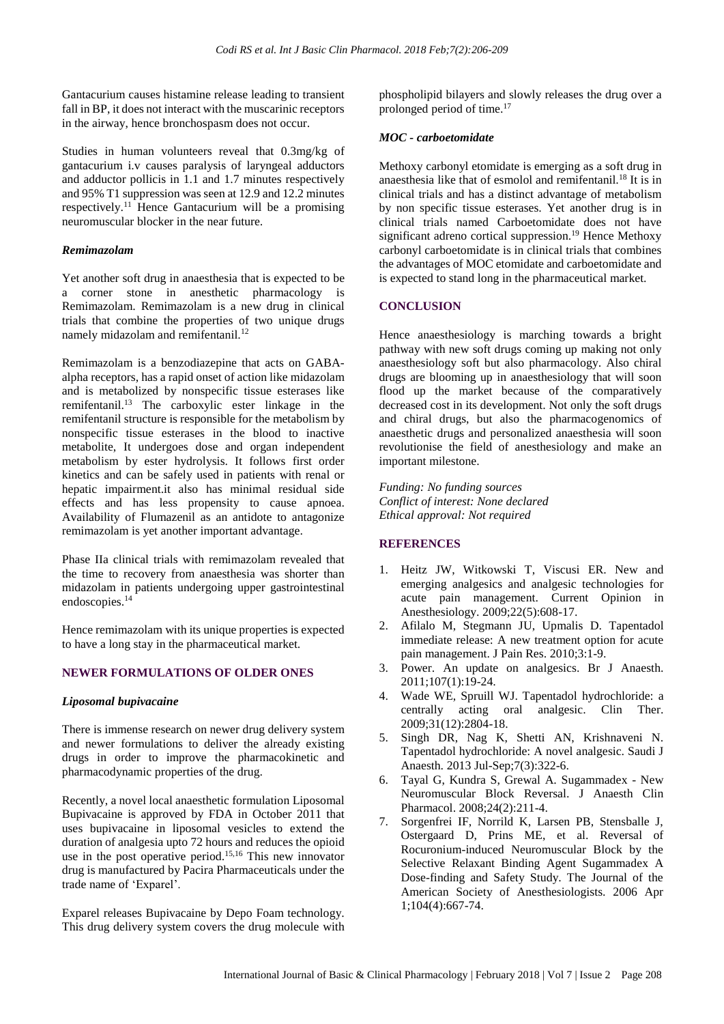Gantacurium causes histamine release leading to transient fall in BP, it does not interact with the muscarinic receptors in the airway, hence bronchospasm does not occur.

Studies in human volunteers reveal that 0.3mg/kg of gantacurium i.v causes paralysis of laryngeal adductors and adductor pollicis in 1.1 and 1.7 minutes respectively and 95% T1 suppression was seen at 12.9 and 12.2 minutes respectively.<sup>11</sup> Hence Gantacurium will be a promising neuromuscular blocker in the near future.

## *Remimazolam*

Yet another soft drug in anaesthesia that is expected to be a corner stone in anesthetic pharmacology is Remimazolam. Remimazolam is a new drug in clinical trials that combine the properties of two unique drugs namely midazolam and remifentanil.<sup>12</sup>

Remimazolam is a benzodiazepine that acts on GABAalpha receptors, has a rapid onset of action like midazolam and is metabolized by nonspecific tissue esterases like remifentanil.<sup>13</sup> The carboxylic ester linkage in the remifentanil structure is responsible for the metabolism by nonspecific tissue esterases in the blood to inactive metabolite, It undergoes dose and organ independent metabolism by ester hydrolysis. It follows first order kinetics and can be safely used in patients with renal or hepatic impairment.it also has minimal residual side effects and has less propensity to cause apnoea. Availability of Flumazenil as an antidote to antagonize remimazolam is yet another important advantage.

Phase IIa clinical trials with remimazolam revealed that the time to recovery from anaesthesia was shorter than midazolam in patients undergoing upper gastrointestinal endoscopies.<sup>14</sup>

Hence remimazolam with its unique properties is expected to have a long stay in the pharmaceutical market.

## **NEWER FORMULATIONS OF OLDER ONES**

### *Liposomal bupivacaine*

There is immense research on newer drug delivery system and newer formulations to deliver the already existing drugs in order to improve the pharmacokinetic and pharmacodynamic properties of the drug.

Recently, a novel local anaesthetic formulation Liposomal Bupivacaine is approved by FDA in October 2011 that uses bupivacaine in liposomal vesicles to extend the duration of analgesia upto 72 hours and reduces the opioid use in the post operative period.<sup>15,16</sup> This new innovator drug is manufactured by Pacira Pharmaceuticals under the trade name of 'Exparel'.

Exparel releases Bupivacaine by Depo Foam technology. This drug delivery system covers the drug molecule with phospholipid bilayers and slowly releases the drug over a prolonged period of time. 17

#### *MOC - carboetomidate*

Methoxy carbonyl etomidate is emerging as a soft drug in anaesthesia like that of esmolol and remifentanil.<sup>18</sup> It is in clinical trials and has a distinct advantage of metabolism by non specific tissue esterases. Yet another drug is in clinical trials named Carboetomidate does not have significant adreno cortical suppression.<sup>19</sup> Hence Methoxy carbonyl carboetomidate is in clinical trials that combines the advantages of MOC etomidate and carboetomidate and is expected to stand long in the pharmaceutical market.

### **CONCLUSION**

Hence anaesthesiology is marching towards a bright pathway with new soft drugs coming up making not only anaesthesiology soft but also pharmacology. Also chiral drugs are blooming up in anaesthesiology that will soon flood up the market because of the comparatively decreased cost in its development. Not only the soft drugs and chiral drugs, but also the pharmacogenomics of anaesthetic drugs and personalized anaesthesia will soon revolutionise the field of anesthesiology and make an important milestone.

*Funding: No funding sources Conflict of interest: None declared Ethical approval: Not required*

## **REFERENCES**

- 1. Heitz JW, Witkowski T, Viscusi ER. New and emerging analgesics and analgesic technologies for acute pain management. Current Opinion in Anesthesiology. 2009;22(5):608-17.
- 2. Afilalo M, Stegmann JU, Upmalis D. Tapentadol immediate release: A new treatment option for acute pain management. J Pain Res. 2010;3:1-9.
- 3. Power. An update on analgesics. Br J Anaesth. 2011;107(1):19-24.
- 4. Wade WE, Spruill WJ. Tapentadol hydrochloride: a centrally acting oral analgesic. Clin Ther. 2009;31(12):2804-18.
- 5. Singh DR, Nag K, Shetti AN, Krishnaveni N. Tapentadol hydrochloride: A novel analgesic. Saudi J Anaesth. 2013 Jul-Sep;7(3):322-6.
- 6. Tayal G, Kundra S, Grewal A. Sugammadex New Neuromuscular Block Reversal. J Anaesth Clin Pharmacol. 2008;24(2):211-4.
- 7. Sorgenfrei IF, Norrild K, Larsen PB, Stensballe J, Ostergaard D, Prins ME, et al. Reversal of Rocuronium-induced Neuromuscular Block by the Selective Relaxant Binding Agent Sugammadex A Dose-finding and Safety Study. The Journal of the American Society of Anesthesiologists. 2006 Apr 1;104(4):667-74.